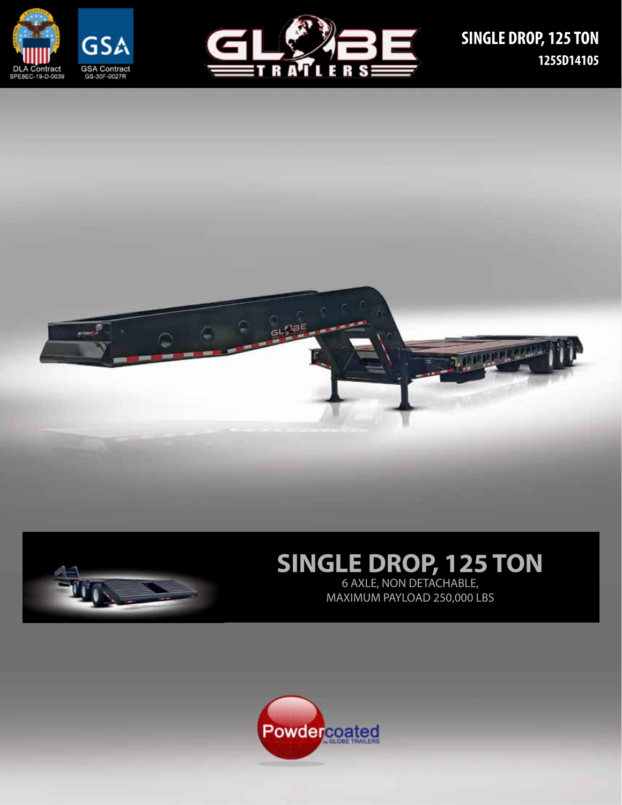







# **SINGLE DROP, 125 TON**

6 AXLE, NON DETACHABLE, MAXIMUM PAYLOAD 250,000 LBS

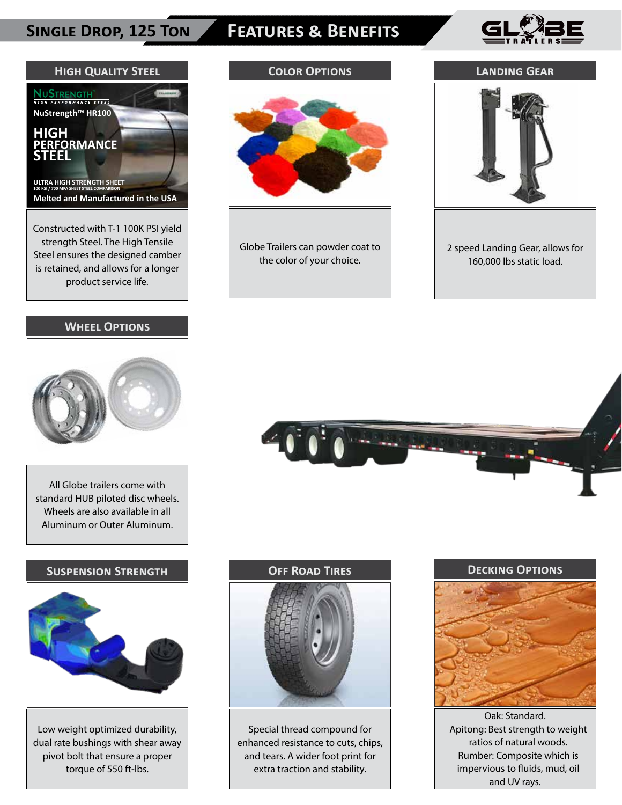### **Single Drop, 125 Ton**

# **Features & Benefits**



**Landing Gear**



is retained, and allows for a longer product service life.

#### **Wheel Options**



All Globe trailers come with standard HUB piloted disc wheels. Wheels are also available in all Aluminum or Outer Aluminum.

#### **Suspension Strength**



Low weight optimized durability, dual rate bushings with shear away pivot bolt that ensure a proper torque of 550 ft-lbs.

# **Color Options**

Globe Trailers can powder coat to the color of your choice.



2 speed Landing Gear, allows for 160,000 lbs static load.



#### **Off Road Tires**



Special thread compound for enhanced resistance to cuts, chips, and tears. A wider foot print for extra traction and stability.

# **Decking Options**

Oak: Standard. Apitong: Best strength to weight ratios of natural woods. Rumber: Composite which is impervious to fluids, mud, oil and UV rays.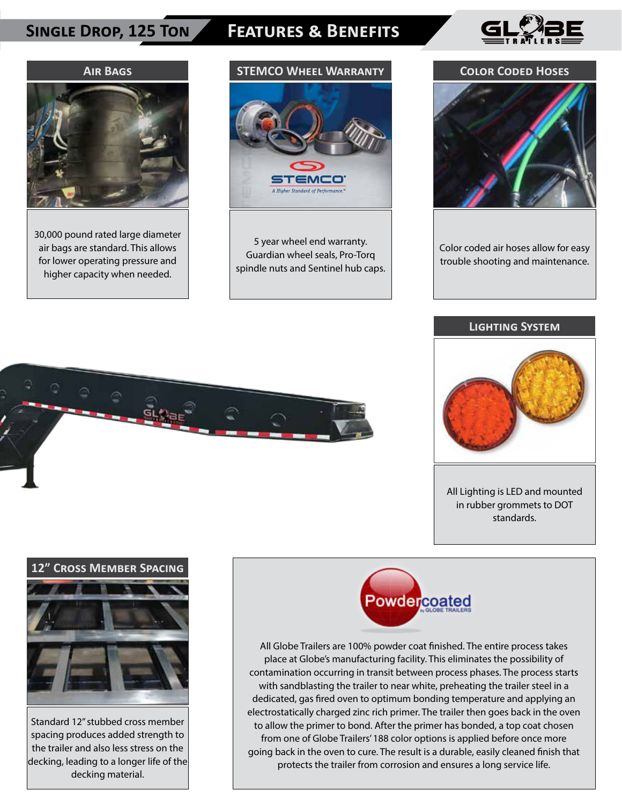### **Single Drop, 125 Ton**

## **Features & Benefits Features & Benefits**





30,000 pound rated large diameter air bags are standard. This allows for lower operating pressure and higher capacity when needed.

# **STEMCO Wheel Warranty**



5 year wheel end warranty. Guardian wheel seals, Pro-Torq spindle nuts and Sentinel hub caps.

#### **Color Coded Hoses**



Color coded air hoses allow for easy trouble shooting and maintenance.

#### **Lighting System**



All Lighting is LED and mounted in rubber grommets to DOT standards.



#### **12" Cross Member Spacing**



Standard 12" stubbed cross member spacing produces added strength to the trailer and also less stress on the decking, leading to a longer life of the decking material.



All Globe Trailers are 100% powder coat finished. The entire process takes place at Globe's manufacturing facility. This eliminates the possibility of contamination occurring in transit between process phases. The process starts with sandblasting the trailer to near white, preheating the trailer steel in a dedicated, gas fired oven to optimum bonding temperature and applying an electrostatically charged zinc rich primer. The trailer then goes back in the oven to allow the primer to bond. After the primer has bonded, a top coat chosen from one of Globe Trailers' 188 color options is applied before once more going back in the oven to cure. The result is a durable, easily cleaned finish that protects the trailer from corrosion and ensures a long service life.